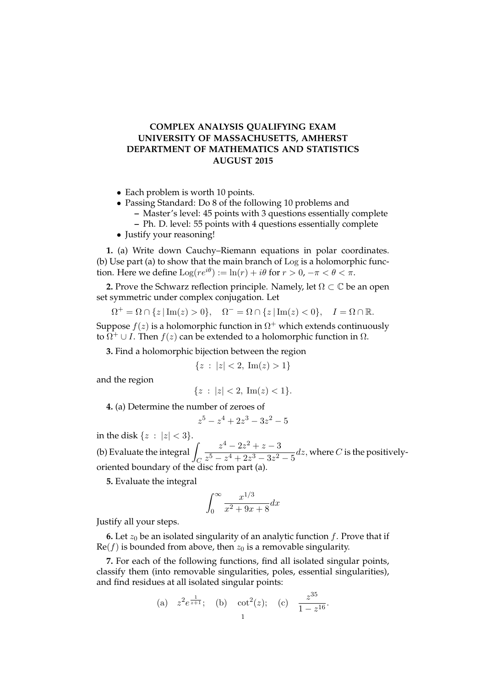## **COMPLEX ANALYSIS QUALIFYING EXAM UNIVERSITY OF MASSACHUSETTS, AMHERST DEPARTMENT OF MATHEMATICS AND STATISTICS AUGUST 2015**

- Each problem is worth 10 points.
- Passing Standard: Do 8 of the following 10 problems and
	- **–** Master's level: 45 points with 3 questions essentially complete
	- **–** Ph. D. level: 55 points with 4 questions essentially complete
- Justify your reasoning!

**1.** (a) Write down Cauchy–Riemann equations in polar coordinates. (b) Use part (a) to show that the main branch of Log is a holomorphic function. Here we define  $\text{Log}(re^{i\theta}) := \ln(r) + i\theta$  for  $r > 0, -\pi < \theta < \pi$ .

**2.** Prove the Schwarz reflection principle. Namely, let  $\Omega \subset \mathbb{C}$  be an open set symmetric under complex conjugation. Let

$$
\Omega^+ = \Omega \cap \{z \mid \text{Im}(z) > 0\}, \quad \Omega^- = \Omega \cap \{z \mid \text{Im}(z) < 0\}, \quad I = \Omega \cap \mathbb{R}.
$$

Suppose  $f(z)$  is a holomorphic function in  $\Omega^+$  which extends continuously to  $\overline{\Omega^+} \cup I$ . Then  $f(z)$  can be extended to a holomorphic function in  $\Omega$ .

**3.** Find a holomorphic bijection between the region

$$
\{z \,:\, |z| < 2, \,\operatorname{Im}(z) > 1\}
$$

and the region

$$
\{z \,:\, |z| < 2,\, \text{Im}(z) < 1\}.
$$

**4.** (a) Determine the number of zeroes of

z

$$
5 - z^4 + 2z^3 - 3z^2 - 5
$$

in the disk  $\{z : |z| < 3\}.$ (b) Evaluate the integral  $\overline{\phantom{a}}$ C  $z^4 - 2z^2 + z - 3$  $\frac{z}{z^5 - z^4 + 2z^3 - 3z^2 - 5}$ dz, where C is the positivelyoriented boundary of the disc from part (a).

**5.** Evaluate the integral

$$
\int_0^\infty \frac{x^{1/3}}{x^2 + 9x + 8} dx
$$

Justify all your steps.

**6.** Let  $z_0$  be an isolated singularity of an analytic function  $f$ . Prove that if  $\text{Re}(f)$  is bounded from above, then  $z_0$  is a removable singularity.

**7.** For each of the following functions, find all isolated singular points, classify them (into removable singularities, poles, essential singularities), and find residues at all isolated singular points:

 $\sim$ 

(a) 
$$
z^2 e^{\frac{1}{z+1}}
$$
; (b)  $\cot^2(z)$ ; (c)  $\frac{z^{35}}{1-z^{16}}$ .